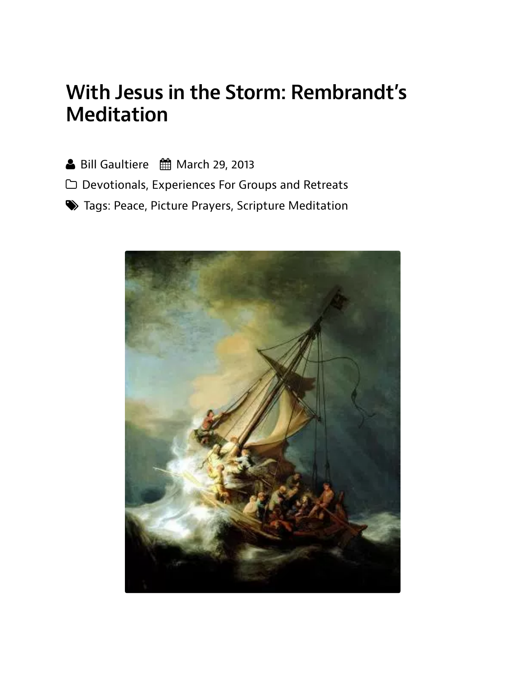## With Jesus in the Storm: Rembrandt's **Meditation**

- ▲ Bill Gaultiere 曲 March 29, 2013
- □ Devotionals, Experiences For Groups and Retreats
- Soliar Tags: Peace, Picture Prayers, Scripture Meditation

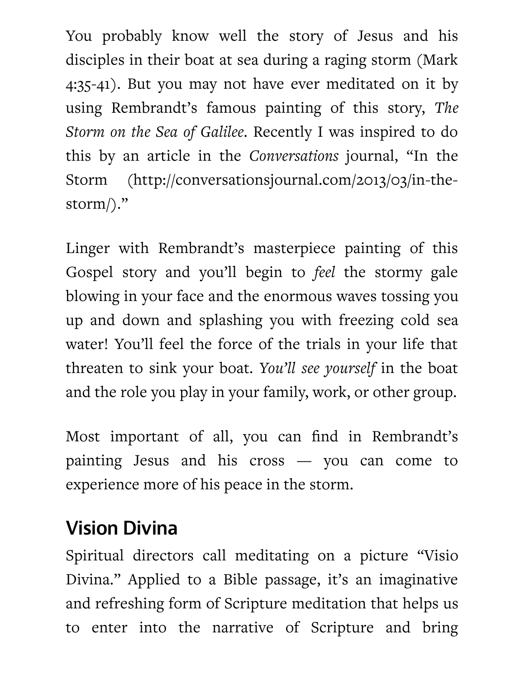You probably know well the story of Jesus and his disciples in their boat at sea during a raging storm (Mark) 4:35-41). But you may not have ever meditated on it by using Rembrandt's famous painting of this story, The *Atorm on the Sea of Galilee.* Recently I was inspired to do this by an article in the *Conversations* journal, "In the 5torm (http://conversationsjournal.com/2013/03/in-thestorm $)\$ ."

Linger with Rembrandt's masterpiece painting of this Gospel story and you'll begin to *feel* the stormy gale blowing in your face and the enormous waves tossing you up and down and splashing you with freezing cold sea water! You'll feel the force of the trials in your life that threaten to sink your boat. You'll see *yourself* in the boat and the role you play in your family, work, or other group.

Most important of all, you can find in Rembrandt's painting Jesus and his cross — you can come to experience more of his peace in the storm.

## **Vision Divina**

Spiritual directors call meditating on a picture "Visio Divina." Applied to a Bible passage, it's an imaginative and refreshing form of Scripture meditation that helps us to enter into the narrative of Scripture and bring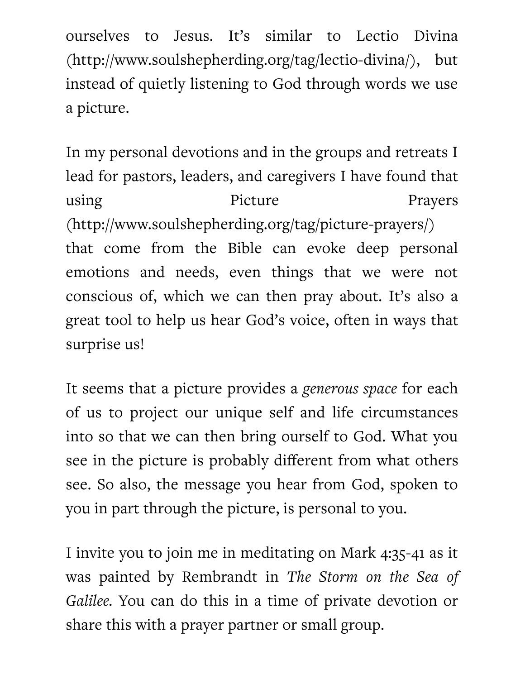ourselves to Jesus. It's similar to Lectio Divina (http://www.soulshepherding.org/tag/lectio-divina/), but instead of quietly listening to God through words we use a picture.

In my personal devotions and in the groups and retreats I lead for pastors, leaders, and caregivers I have found that using Picture Prayers (http://www.soulshepherding.org/tag/picture-prayers/) that come from the Bible can evoke deep personal emotions and needs, even things that we were not conscious of, which we can then pray about. It's also a great tool to help us hear God's voice, often in ways that surprise us!

It seems that a picture provides a *generous space* for each of us to project our unique self and life circumstances into so that we can then bring ourself to God. What you see in the picture is probably different from what others see. So also, the message you hear from God, spoken to you in part through the picture, is personal to you.

I invite you to join me in meditating on Mark 4:35-41 as it was painted by Rembrandt in *The Storm on the Sea of* Galilee. You can do this in a time of private devotion or share this with a prayer partner or small group.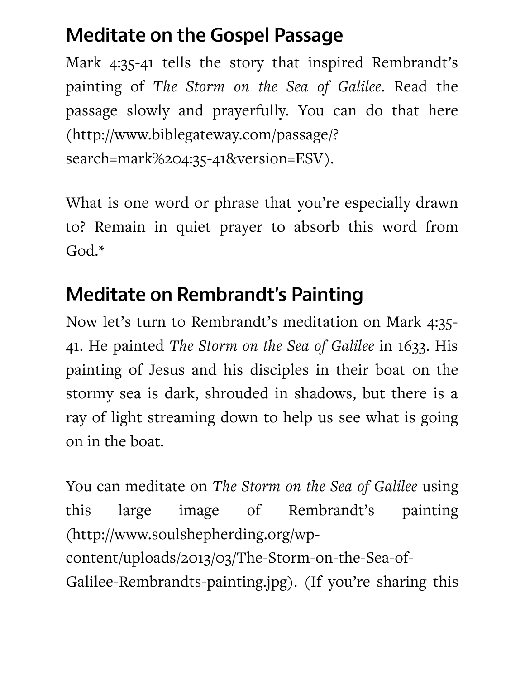## Meditate on the Gospel Passage

Mark 4:35-41 tells the story that inspired Rembrandt's painting of *The Storm on the Sea of Galilee*. Read the passage slowly and prayerfully. You can do that here (http://www.biblegateway.com/passage/? search=mark%204:35-41&version=ESV).

What is one word or phrase that you're especially drawn to? Remain in quiet prayer to absorb this word from God.\*

# Meditate on Rembrandt's Painting

Now let's turn to Rembrandt's meditation on Mark 4:35-41. He painted *The Storm on the Sea of Galilee* in 1633. His painting of Jesus and his disciples in their boat on the stormy sea is dark, shrouded in shadows, but there is a ray of light streaming down to help us see what is going on in the boat.

You can meditate on *The Storm on the Sea of Galilee* using this large image of Rembrandt's painting (http://www.soulshepherding.org/wpcontent/uploads/2013/03/The-Storm-on-the-Sea-of-Galilee-Rembrandts-painting.jpg). (If you're sharing this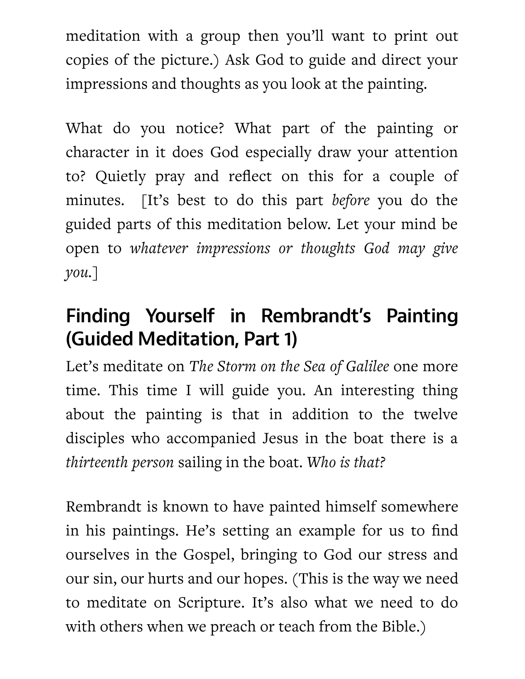meditation with a group then you'll want to print out copies of the picture.) Ask God to guide and direct your impressions and thoughts as you look at the painting.

What do you notice? What part of the painting or character in it does God especially draw your attention to? Quietly pray and reflect on this for a couple of minutes. [It's best to do this part *before* you do the guided parts of this meditation below. Let your mind be open to *whatever impressions* or *thoughts* God may give  $you.$ ]

# Finding Yourself in Rembrandt's Painting (Guided Meditation, Part 1)

Let's meditate on *The Storm on the Sea of Galilee* one more time. This time I will guide you. An interesting thing about the painting is that in addition to the twelve disciples who accompanied Jesus in the boat there is a *thirteenth person sailing in the boat. Who is that?* 

Rembrandt is known to have painted himself somewhere in his paintings. He's setting an example for us to find ourselves in the Gospel, bringing to God our stress and our sin, our hurts and our hopes. (This is the way we need to meditate on Scripture. It's also what we need to do with others when we preach or teach from the Bible.)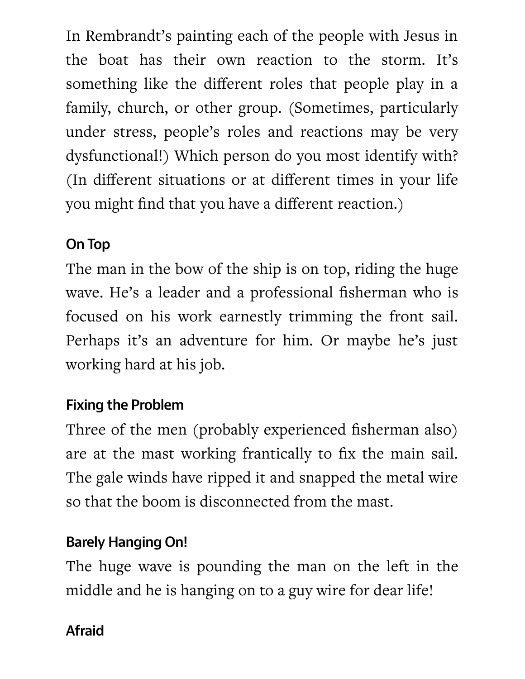In Rembrandt's painting each of the people with Jesus in the boat has their own reaction to the storm. It's something like the different roles that people play in a family, church, or other group. (Sometimes, particularly under stress, people's roles and reactions may be very dysfunctional!) Which person do you most identify with? (In different situations or at different times in your life you might find that you have a different reaction.)

#### On Top

The man in the bow of the ship is on top, riding the huge wave. He's a leader and a professional fisherman who is focused on his work earnestly trimming the front sail. Perhaps it's an adventure for him. Or maybe he's just working hard at his job.

#### Fixing the Problem

Three of the men (probably experienced fisherman also) are at the mast working frantically to fix the main sail. The gale winds have ripped it and snapped the metal wire so that the boom is disconnected from the mast.

#### **Barely Hanging On!**

The huge wave is pounding the man on the left in the middle and he is hanging on to a guy wire for dear life!

#### Afraid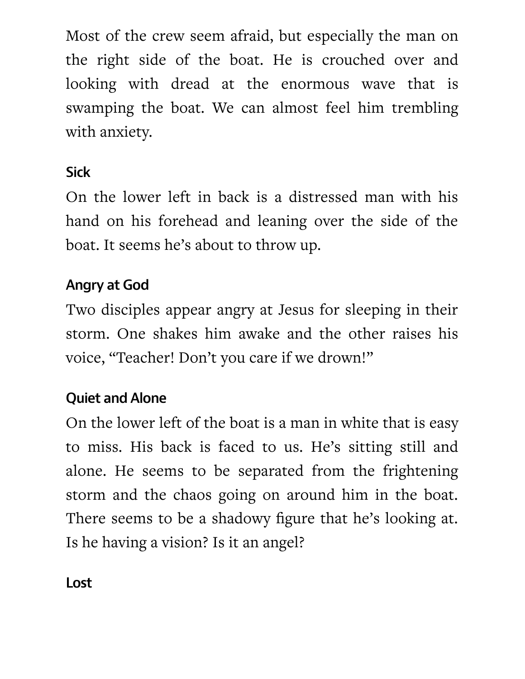Most of the crew seem afraid, but especially the man on the right side of the boat. He is crouched over and looking with dread at the enormous wave that is swamping the boat. We can almost feel him trembling with anxiety.

#### **Sick**

On the lower left in back is a distressed man with his hand on his forehead and leaning over the side of the boat. It seems he's about to throw up.

#### Angry at God

Two disciples appear angry at Jesus for sleeping in their storm. One shakes him awake and the other raises his voice, "Teacher! Don't you care if we drown!"

#### Quiet and Alone

On the lower left of the boat is a man in white that is easy to miss. His back is faced to us. He's sitting still and alone. He seems to be separated from the frightening storm and the chaos going on around him in the boat. There seems to be a shadowy figure that he's looking at. Is he having a vision? Is it an angel?

**Lost**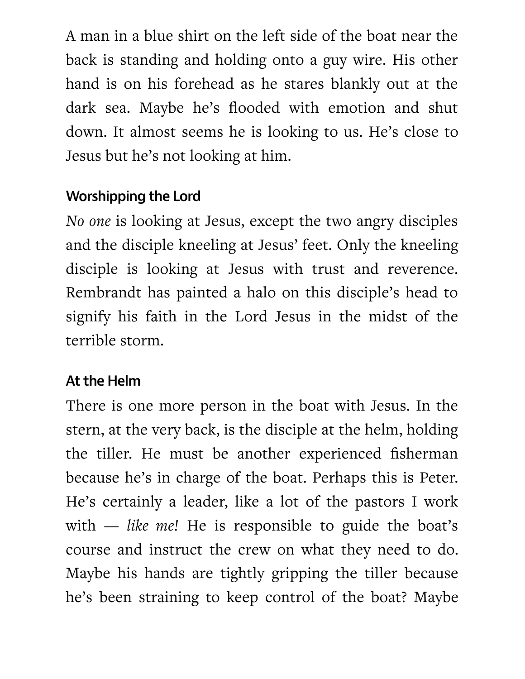A man in a blue shirt on the left side of the boat near the back is standing and holding onto a guy wire. His other hand is on his forehead as he stares blankly out at the dark sea. Maybe he's flooded with emotion and shut down. It almost seems he is looking to us. He's close to Jesus but he's not looking at him.

#### Wor hipping the Lord

*No one* is looking at Jesus, except the two angry disciples and the disciple kneeling at Jesus' feet. Only the kneeling disciple is looking at Jesus with trust and reverence. Rembrandt has painted a halo on this disciple's head to signify his faith in the Lord Jesus in the midst of the terrible storm.

#### At the Helm

There is one more person in the boat with Jesus. In the stern, at the very back, is the disciple at the helm, holding the tiller. He must be another experienced fisherman because he's in charge of the boat. Perhaps this is Peter. He's certainly a leader, like a lot of the pastors I work with  $-$  *like me!* He is responsible to guide the boat's course and instruct the crew on what they need to do. Maybe his hands are tightly gripping the tiller because he's been straining to keep control of the boat? Maybe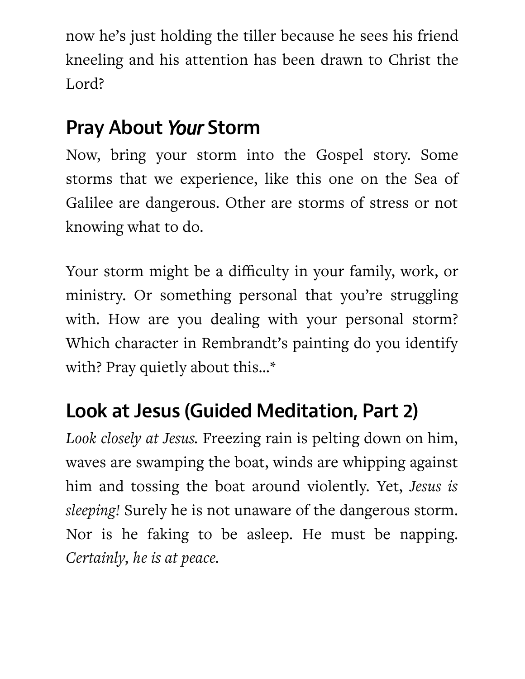now he's just holding the tiller because he sees his friend kneeling and his attention has been drawn to Christ the Lord?

# **Pray About Your Storm**

Now, bring your storm into the Gospel story. Some storms that we experience, like this one on the Sea of Galilee are dangerous. Other are storms of stress or not knowing what to do.

Your storm might be a difficulty in your family, work, or ministry. Or something personal that you're struggling with. How are you dealing with your personal storm? Which character in Rembrandt's painting do you identify with? Pray quietly about this...\*

# Look at Jesus (Guided Meditation, Part 2)

Look closely at Jesus. Freezing rain is pelting down on him, waves are swamping the boat, winds are whipping against him and tossing the boat around violently. Yet, Jesus is *sleeping!* Surely he is not unaware of the dangerous storm. Nor is he faking to be asleep. He must be napping. Certainly, he is at peace.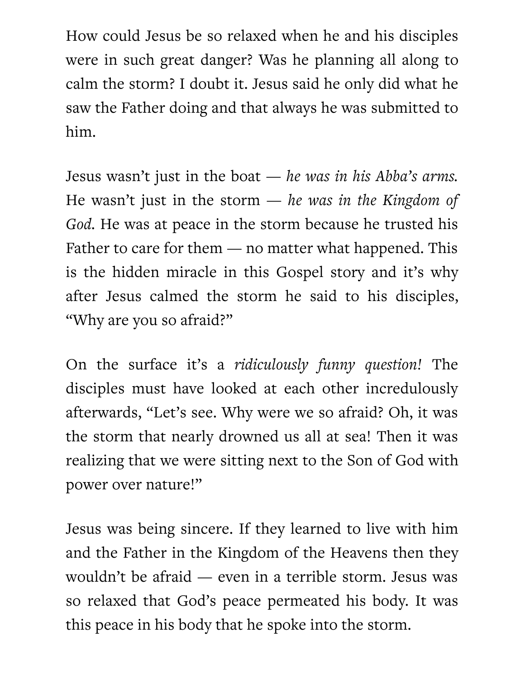How could Jesus be so relaxed when he and his disciples were in such great danger? Was he planning all along to calm the storm? I doubt it. Jesus said he only did what he saw the Father doing and that always he was submitted to him.

Jesus wasn't just in the boat — *he was in his Abba's arms*. He wasn't just in the storm — *he was in the Kingdom of* God. He was at peace in the storm because he trusted his Father to care for them  $-$  no matter what happened. This is the hidden miracle in this Gospel story and it's why after Jesus calmed the storm he said to his disciples, "Why are you so afraid?"

On the surface it's a *ridiculously funny question!* The disciples must have looked at each other incredulously afterwards, "Let's see. Why were we so afraid? Oh, it was the storm that nearly drowned us all at sea! Then it was realizing that we were sitting next to the Son of God with power over nature!"

Jesus was being sincere. If they learned to live with him and the Father in the Kingdom of the Heavens then they wouldn't be afraid — even in a terrible storm. Jesus was so relaxed that God's peace permeated his body. It was this peace in his body that he spoke into the storm.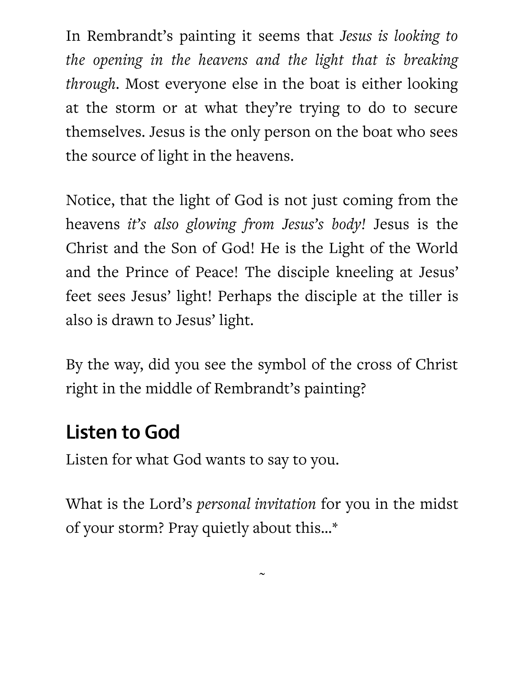In Rembrandt's painting it seems that *Jesus is looking to the opening in the heavens and the light that is breaking through*. Most everyone else in the boat is either looking at the storm or at what they're trying to do to secure themselves. Jesus is the only person on the boat who sees the source of light in the heavens.

Notice, that the light of God is not just coming from the heavens it's also glowing from Jesus's body! Jesus is the Christ and the Son of God! He is the Light of the World and the Prince of Peace! The disciple kneeling at Jesus' feet sees Jesus' light! Perhaps the disciple at the tiller is also is drawn to Jesus' light.

By the way, did you see the symbol of the cross of Christ right in the middle of Rembrandt's painting?

## Listen to God

Listen for what God wants to say to you.

What is the Lord's *personal invitation* for you in the midst of your storm? Pray quietly about this...\*

 $\sim$